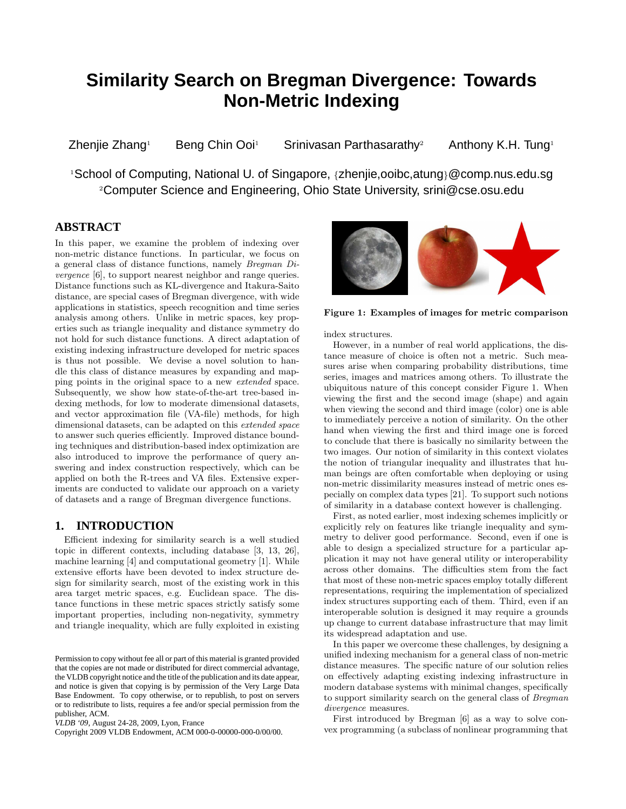# **Similarity Search on Bregman Divergence: Towards Non-Metric Indexing**

Zhenjie Zhang<sup>1</sup> Beng Chin Ooi<sup>1</sup> Srinivasan Parthasarathy<sup>2</sup> Anthony K.H. Tung<sup>1</sup>

<sup>1</sup>School of Computing, National U. of Singapore, {zhenjie,ooibc,atung}@comp.nus.edu.sg <sup>2</sup>Computer Science and Engineering, Ohio State University, srini@cse.osu.edu

# **ABSTRACT**

In this paper, we examine the problem of indexing over non-metric distance functions. In particular, we focus on a general class of distance functions, namely Bregman Divergence [6], to support nearest neighbor and range queries. Distance functions such as KL-divergence and Itakura-Saito distance, are special cases of Bregman divergence, with wide applications in statistics, speech recognition and time series analysis among others. Unlike in metric spaces, key properties such as triangle inequality and distance symmetry do not hold for such distance functions. A direct adaptation of existing indexing infrastructure developed for metric spaces is thus not possible. We devise a novel solution to handle this class of distance measures by expanding and mapping points in the original space to a new extended space. Subsequently, we show how state-of-the-art tree-based indexing methods, for low to moderate dimensional datasets, and vector approximation file (VA-file) methods, for high dimensional datasets, can be adapted on this extended space to answer such queries efficiently. Improved distance bounding techniques and distribution-based index optimization are also introduced to improve the performance of query answering and index construction respectively, which can be applied on both the R-trees and VA files. Extensive experiments are conducted to validate our approach on a variety of datasets and a range of Bregman divergence functions.

# **1. INTRODUCTION**

Efficient indexing for similarity search is a well studied topic in different contexts, including database [3, 13, 26], machine learning [4] and computational geometry [1]. While extensive efforts have been devoted to index structure design for similarity search, most of the existing work in this area target metric spaces, e.g. Euclidean space. The distance functions in these metric spaces strictly satisfy some important properties, including non-negativity, symmetry and triangle inequality, which are fully exploited in existing



Figure 1: Examples of images for metric comparison

index structures.

However, in a number of real world applications, the distance measure of choice is often not a metric. Such measures arise when comparing probability distributions, time series, images and matrices among others. To illustrate the ubiquitous nature of this concept consider Figure 1. When viewing the first and the second image (shape) and again when viewing the second and third image (color) one is able to immediately perceive a notion of similarity. On the other hand when viewing the first and third image one is forced to conclude that there is basically no similarity between the two images. Our notion of similarity in this context violates the notion of triangular inequality and illustrates that human beings are often comfortable when deploying or using non-metric dissimilarity measures instead of metric ones especially on complex data types [21]. To support such notions of similarity in a database context however is challenging.

First, as noted earlier, most indexing schemes implicitly or explicitly rely on features like triangle inequality and symmetry to deliver good performance. Second, even if one is able to design a specialized structure for a particular application it may not have general utility or interoperability across other domains. The difficulties stem from the fact that most of these non-metric spaces employ totally different representations, requiring the implementation of specialized index structures supporting each of them. Third, even if an interoperable solution is designed it may require a grounds up change to current database infrastructure that may limit its widespread adaptation and use.

In this paper we overcome these challenges, by designing a unified indexing mechanism for a general class of non-metric distance measures. The specific nature of our solution relies on effectively adapting existing indexing infrastructure in modern database systems with minimal changes, specifically to support similarity search on the general class of Bregman divergence measures.

First introduced by Bregman [6] as a way to solve convex programming (a subclass of nonlinear programming that

Permission to copy without fee all or part of this material is granted provided that the copies are not made or distributed for direct commercial advantage, the VLDB copyright notice and the title of the publication and its date appear, and notice is given that copying is by permission of the Very Large Data Base Endowment. To copy otherwise, or to republish, to post on servers or to redistribute to lists, requires a fee and/or special permission from the publisher, ACM.

*VLDB '09,* August 24-28, 2009, Lyon, France

Copyright 2009 VLDB Endowment, ACM 000-0-00000-000-0/00/00.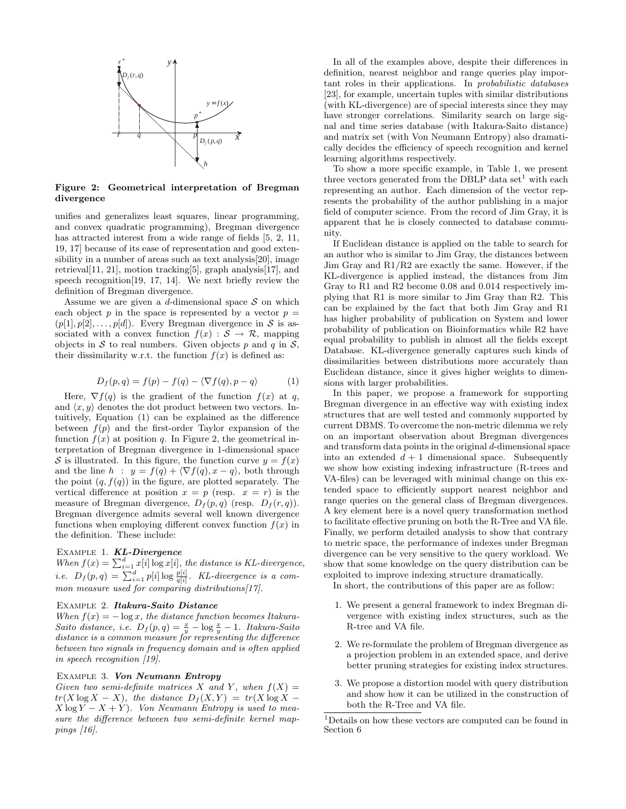

Figure 2: Geometrical interpretation of Bregman divergence

unifies and generalizes least squares, linear programming, and convex quadratic programming), Bregman divergence has attracted interest from a wide range of fields  $[5, 2, 11]$ , 19, 17] because of its ease of representation and good extensibility in a number of areas such as text analysis[20], image retrieval[11, 21], motion tracking[5], graph analysis[17], and speech recognition[19, 17, 14]. We next briefly review the definition of Bregman divergence.

Assume we are given a d-dimensional space  $S$  on which each object p in the space is represented by a vector  $p =$  $(p[1], p[2], \ldots, p[d])$ . Every Bregman divergence in S is associated with a convex function  $f(x) : \mathcal{S} \to \mathcal{R}$ , mapping objects in S to real numbers. Given objects p and q in  $S$ , their dissimilarity w.r.t. the function  $f(x)$  is defined as:

$$
D_f(p,q) = f(p) - f(q) - \langle \nabla f(q), p - q \rangle \tag{1}
$$

Here,  $\nabla f(q)$  is the gradient of the function  $f(x)$  at q, and  $\langle x, y \rangle$  denotes the dot product between two vectors. Intuitively, Equation (1) can be explained as the difference between  $f(p)$  and the first-order Taylor expansion of the function  $f(x)$  at position q. In Figure 2, the geometrical interpretation of Bregman divergence in 1-dimensional space S is illustrated. In this figure, the function curve  $y = f(x)$ and the line  $h : y = f(q) + \langle \nabla f(q), x - q \rangle$ , both through the point  $(q, f(q))$  in the figure, are plotted separately. The vertical difference at position  $x = p$  (resp.  $x = r$ ) is the measure of Bregman divergence,  $D_f(p,q)$  (resp.  $D_f(r,q)$ ). Bregman divergence admits several well known divergence functions when employing different convex function  $f(x)$  in the definition. These include:

# Example 1. KL-Divergence

When  $f(x) = \sum_{i=1}^{d} x[i] \log x[i]$ , the distance is KL-divergence, *i.e.*  $D_f(p,q) = \sum_{i=1}^d p[i] \log \frac{p[i]}{q[i]}$ . KL-divergence is a common measure used for comparing distributions $[17]$ .

#### Example 2. Itakura-Saito Distance

When  $f(x) = -\log x$ , the distance function becomes Itakura-Saito distance, i.e.  $D_f(p,q) = \frac{x}{y} - \log \frac{x}{y} - 1$ . Itakura-Saito distance is a common measure for representing the difference between two signals in frequency domain and is often applied in speech recognition [19].

#### Example 3. Von Neumann Entropy

Given two semi-definite matrices X and Y, when  $f(X) =$  $tr(X \log X - X)$ , the distance  $D_f(X, Y) = tr(X \log X X \log Y - X + Y$ ). Von Neumann Entropy is used to measure the difference between two semi-definite kernel mappings [16].

In all of the examples above, despite their differences in definition, nearest neighbor and range queries play important roles in their applications. In probabilistic databases [23], for example, uncertain tuples with similar distributions (with KL-divergence) are of special interests since they may have stronger correlations. Similarity search on large signal and time series database (with Itakura-Saito distance) and matrix set (with Von Neumann Entropy) also dramatically decides the efficiency of speech recognition and kernel learning algorithms respectively.

To show a more specific example, in Table 1, we present three vectors generated from the DBLP data set<sup>1</sup> with each representing an author. Each dimension of the vector represents the probability of the author publishing in a major field of computer science. From the record of Jim Gray, it is apparent that he is closely connected to database community.

If Euclidean distance is applied on the table to search for an author who is similar to Jim Gray, the distances between Jim Gray and R1/R2 are exactly the same. However, if the KL-divergence is applied instead, the distances from Jim Gray to R1 and R2 become 0.08 and 0.014 respectively implying that R1 is more similar to Jim Gray than R2. This can be explained by the fact that both Jim Gray and R1 has higher probability of publication on System and lower probability of publication on Bioinformatics while R2 have equal probability to publish in almost all the fields except Database. KL-divergence generally captures such kinds of dissimilarities between distributions more accurately than Euclidean distance, since it gives higher weights to dimensions with larger probabilities.

In this paper, we propose a framework for supporting Bregman divergence in an effective way with existing index structures that are well tested and commonly supported by current DBMS. To overcome the non-metric dilemma we rely on an important observation about Bregman divergences and transform data points in the original  $d$ -dimensional space into an extended  $d + 1$  dimensional space. Subsequently we show how existing indexing infrastructure (R-trees and VA-files) can be leveraged with minimal change on this extended space to efficiently support nearest neighbor and range queries on the general class of Bregman divergences. A key element here is a novel query transformation method to facilitate effective pruning on both the R-Tree and VA file. Finally, we perform detailed analysis to show that contrary to metric space, the performance of indexes under Bregman divergence can be very sensitive to the query workload. We show that some knowledge on the query distribution can be exploited to improve indexing structure dramatically.

In short, the contributions of this paper are as follow:

- 1. We present a general framework to index Bregman divergence with existing index structures, such as the R-tree and VA file.
- 2. We re-formulate the problem of Bregman divergence as a projection problem in an extended space, and derive better pruning strategies for existing index structures.
- 3. We propose a distortion model with query distribution and show how it can be utilized in the construction of both the R-Tree and VA file.

<sup>1</sup>Details on how these vectors are computed can be found in Section 6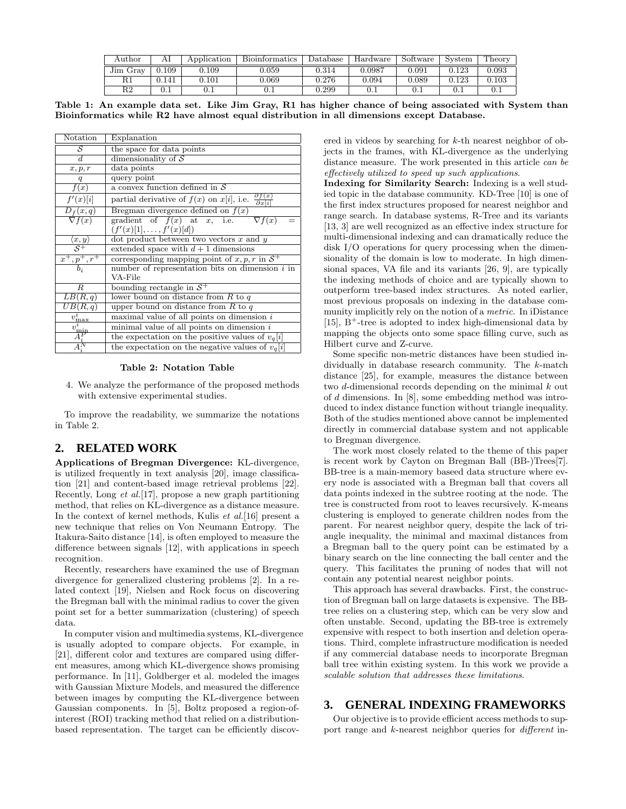| Author   | Αl    | Application | Bioinformatics | Jatabase | Hardware | Software                        | System | $\overline{\text{Theor}}$ |
|----------|-------|-------------|----------------|----------|----------|---------------------------------|--------|---------------------------|
| Jim Gray | 0.109 | ).109       | 0.059          | 0.314    | ).0987   | $\hphantom{0}\hphantom{0}0.091$ | 0.123  | 0.093                     |
| R1       | 0.141 | 0.101       | 0.069          | 0.276    | 0.094    | 0.089                           | 0.123  | 0.103                     |
| R2       |       | U.I         | U. 1           | 1.299    |          | 0.1                             | U.I    |                           |

Table 1: An example data set. Like Jim Gray, R1 has higher chance of being associated with System than Bioinformatics while R2 have almost equal distribution in all dimensions except Database.

| Notation                           | Explanation                                                                            |  |  |  |
|------------------------------------|----------------------------------------------------------------------------------------|--|--|--|
| S                                  | the space for data points                                                              |  |  |  |
| $\boldsymbol{d}$                   | dimensionality of $\mathcal S$                                                         |  |  |  |
| x, p, r                            | data points                                                                            |  |  |  |
| q                                  | query point                                                                            |  |  |  |
| $\overline{f}(x)$                  | a convex function defined in $S$                                                       |  |  |  |
| f'(x)[i]                           | $\frac{\partial f(x)}{\partial x[i]}$<br>partial derivative of $f(x)$ on $x[i]$ , i.e. |  |  |  |
| $D_f(x,q)$                         | Bregman divergence defined on $f(x)$                                                   |  |  |  |
| $\nabla f(x)$                      | gradient of $f(x)$ at x, i.e.<br>$\nabla f(x)$                                         |  |  |  |
|                                    | $(f'(x)[1], \ldots, f'(x)[d])$                                                         |  |  |  |
| $\langle x,y\rangle$               | dot product between two vectors $x$ and $y$                                            |  |  |  |
| $S^+$                              | extended space with $d+1$ dimensions                                                   |  |  |  |
| $\frac{x^+, p^+, r^+}{b_i}$        | corresponding mapping point of $x, p, r$ in $S^+$                                      |  |  |  |
|                                    | number of representation bits on dimension $i$ in                                      |  |  |  |
|                                    | VA-File                                                                                |  |  |  |
| R                                  | bounding rectangle in $S^+$                                                            |  |  |  |
| LB(R,q)                            | lower bound on distance from $R$ to $q$                                                |  |  |  |
| $\overline{U}B(R,q)$               | upper bound on distance from $R$ to $q$                                                |  |  |  |
| $v^i_{\max}$                       | maximal value of all points on dimension $i$                                           |  |  |  |
| $\frac{v_{\mathrm{min}}^i}{A_i^P}$ | minimal value of all points on dimension $i$                                           |  |  |  |
|                                    | the expectation on the positive values of $v_q[i]$                                     |  |  |  |
| $A^N_i$                            | the expectation on the negative values of $v_q[i]$                                     |  |  |  |

#### Table 2: Notation Table

4. We analyze the performance of the proposed methods with extensive experimental studies.

To improve the readability, we summarize the notations in Table 2.

# **2. RELATED WORK**

Applications of Bregman Divergence: KL-divergence, is utilized frequently in text analysis [20], image classification [21] and content-based image retrieval problems [22]. Recently, Long et al.[17], propose a new graph partitioning method, that relies on KL-divergence as a distance measure. In the context of kernel methods, Kulis et al.[16] present a new technique that relies on Von Neumann Entropy. The Itakura-Saito distance [14], is often employed to measure the difference between signals [12], with applications in speech recognition.

Recently, researchers have examined the use of Bregman divergence for generalized clustering problems [2]. In a related context [19], Nielsen and Rock focus on discovering the Bregman ball with the minimal radius to cover the given point set for a better summarization (clustering) of speech data.

In computer vision and multimedia systems, KL-divergence is usually adopted to compare objects. For example, in [21], different color and textures are compared using different measures, among which KL-divergence shows promising performance. In [11], Goldberger et al. modeled the images with Gaussian Mixture Models, and measured the difference between images by computing the KL-divergence between Gaussian components. In [5], Boltz proposed a region-ofinterest (ROI) tracking method that relied on a distributionbased representation. The target can be efficiently discovered in videos by searching for k-th nearest neighbor of objects in the frames, with KL-divergence as the underlying distance measure. The work presented in this article can be effectively utilized to speed up such applications.

Indexing for Similarity Search: Indexing is a well studied topic in the database community. KD-Tree [10] is one of the first index structures proposed for nearest neighbor and range search. In database systems, R-Tree and its variants [13, 3] are well recognized as an effective index structure for multi-dimensional indexing and can dramatically reduce the disk I/O operations for query processing when the dimensionality of the domain is low to moderate. In high dimensional spaces, VA file and its variants [26, 9], are typically the indexing methods of choice and are typically shown to outperform tree-based index structures. As noted earlier, most previous proposals on indexing in the database community implicitly rely on the notion of a metric. In iDistance [15],  $B^+$ -tree is adopted to index high-dimensional data by mapping the objects onto some space filling curve, such as Hilbert curve and Z-curve.

Some specific non-metric distances have been studied individually in database research community. The k-match distance [25], for example, measures the distance between two  $d$ -dimensional records depending on the minimal  $k$  out of d dimensions. In [8], some embedding method was introduced to index distance function without triangle inequality. Both of the studies mentioned above cannot be implemented directly in commercial database system and not applicable to Bregman divergence.

The work most closely related to the theme of this paper is recent work by Cayton on Bregman Ball (BB-)Trees[7]. BB-tree is a main-memory baseed data structure where every node is associated with a Bregman ball that covers all data points indexed in the subtree rooting at the node. The tree is constructed from root to leaves recursively. K-means clustering is employed to generate children nodes from the parent. For nearest neighbor query, despite the lack of triangle inequality, the minimal and maximal distances from a Bregman ball to the query point can be estimated by a binary search on the line connecting the ball center and the query. This facilitates the pruning of nodes that will not contain any potential nearest neighbor points.

This approach has several drawbacks. First, the construction of Bregman ball on large datasets is expensive. The BBtree relies on a clustering step, which can be very slow and often unstable. Second, updating the BB-tree is extremely expensive with respect to both insertion and deletion operations. Third, complete infrastructure modification is needed if any commercial database needs to incorporate Bregman ball tree within existing system. In this work we provide a scalable solution that addresses these limitations.

# **3. GENERAL INDEXING FRAMEWORKS**

Our objective is to provide efficient access methods to support range and k-nearest neighbor queries for different in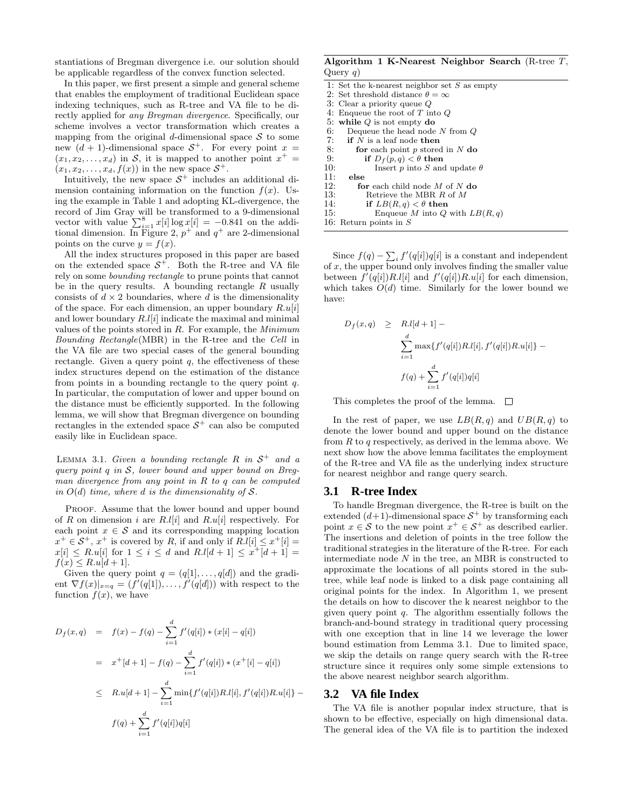stantiations of Bregman divergence i.e. our solution should be applicable regardless of the convex function selected.

In this paper, we first present a simple and general scheme that enables the employment of traditional Euclidean space indexing techniques, such as R-tree and VA file to be directly applied for any Bregman divergence. Specifically, our scheme involves a vector transformation which creates a mapping from the original d-dimensional space  $S$  to some new  $(d + 1)$ -dimensional space  $S^+$ . For every point  $x =$  $(x_1, x_2, \ldots, x_d)$  in S, it is mapped to another point  $x^+ =$  $(x_1, x_2, \ldots, x_d, f(x))$  in the new space  $S^+$ .

Intuitively, the new space  $S^+$  includes an additional dimension containing information on the function  $f(x)$ . Using the example in Table 1 and adopting KL-divergence, the record of Jim Gray will be transformed to a 9-dimensional vector with value  $\sum_{i=1}^{8} x[i] \log x[i] = -0.841$  on the additional dimension. In Figure 2,  $p^+$  and  $q^+$  are 2-dimensional points on the curve  $y = f(x)$ .

All the index structures proposed in this paper are based on the extended space  $S^+$ . Both the R-tree and VA file rely on some bounding rectangle to prune points that cannot be in the query results. A bounding rectangle  $R$  usually consists of  $d \times 2$  boundaries, where d is the dimensionality of the space. For each dimension, an upper boundary  $R.u[i]$ and lower boundary  $R.l[i]$  indicate the maximal and minimal values of the points stored in  $R$ . For example, the *Minimum* Bounding Rectangle(MBR) in the R-tree and the Cell in the VA file are two special cases of the general bounding rectangle. Given a query point  $q$ , the effectiveness of these index structures depend on the estimation of the distance from points in a bounding rectangle to the query point  $q$ . In particular, the computation of lower and upper bound on the distance must be efficiently supported. In the following lemma, we will show that Bregman divergence on bounding rectangles in the extended space  $S^+$  can also be computed easily like in Euclidean space.

LEMMA 3.1. Given a bounding rectangle R in  $S^+$  and a query point  $q$  in  $S$ , lower bound and upper bound on Bregman divergence from any point in  $R$  to  $q$  can be computed in  $O(d)$  time, where d is the dimensionality of S.

PROOF. Assume that the lower bound and upper bound of R on dimension i are  $R.l[i]$  and  $R.u[i]$  respectively. For each point  $x \in \mathcal{S}$  and its corresponding mapping location  $x^+ \in \mathcal{S}^+$ ,  $x^+$  is covered by R, if and only if  $R.l[i] \leq x^+[i] =$  $x[i] \leq R.u[i]$  for  $1 \leq i \leq d$  and  $R.l[d+1] \leq x^{+}[d+1] =$  $f(x) \leq R.u/d + 1$ .

Given the query point  $q = (q[1], \ldots, q[d])$  and the gradient  $\nabla f(x)|_{x=q} = (f'(q[1]), \ldots, f'(q[d]))$  with respect to the function  $f(x)$ , we have

$$
D_f(x, q) = f(x) - f(q) - \sum_{i=1}^d f'(q[i]) * (x[i] - q[i])
$$
  

$$
= x^+[d+1] - f(q) - \sum_{i=1}^d f'(q[i]) * (x^+[i] - q[i])
$$
  

$$
\leq R.u[d+1] - \sum_{i=1}^d \min\{f'(q[i])R.l[i], f'(q[i])R.u[i]\} -
$$
  

$$
f(q) + \sum_{i=1}^d f'(q[i])q[i]
$$

Algorithm 1 K-Nearest Neighbor Search (R-tree T, Query  $q$ )

Since  $f(q) - \sum_i f'(q[i])q[i]$  is a constant and independent of x, the upper bound only involves finding the smaller value between  $f'(q[i])R.l[i]$  and  $f'(q[i])R.u[i]$  for each dimension, which takes  $O(d)$  time. Similarly for the lower bound we have:

$$
D_f(x, q) \geq R.I[d+1] -
$$
  

$$
\sum_{i=1}^d \max\{f'(q[i])R.I[i], f'(q[i])R.u[i]\} -
$$
  

$$
f(q) + \sum_{i=1}^d f'(q[i])q[i]
$$

This completes the proof of the lemma.  $\Box$ 

In the rest of paper, we use  $LB(R,q)$  and  $UB(R,q)$  to denote the lower bound and upper bound on the distance from  $R$  to  $q$  respectively, as derived in the lemma above. We next show how the above lemma facilitates the employment of the R-tree and VA file as the underlying index structure for nearest neighbor and range query search.

#### **3.1 R-tree Index**

To handle Bregman divergence, the R-tree is built on the extended  $(d+1)$ -dimensional space  $S^+$  by transforming each point  $x \in S$  to the new point  $x^+ \in S^+$  as described earlier. The insertions and deletion of points in the tree follow the traditional strategies in the literature of the R-tree. For each intermediate node  $N$  in the tree, an MBR is constructed to approximate the locations of all points stored in the subtree, while leaf node is linked to a disk page containing all original points for the index. In Algorithm 1, we present the details on how to discover the k nearest neighbor to the given query point  $q$ . The algorithm essentially follows the branch-and-bound strategy in traditional query processing with one exception that in line 14 we leverage the lower bound estimation from Lemma 3.1. Due to limited space, we skip the details on range query search with the R-tree structure since it requires only some simple extensions to the above nearest neighbor search algorithm.

#### **3.2 VA file Index**

The VA file is another popular index structure, that is shown to be effective, especially on high dimensional data. The general idea of the VA file is to partition the indexed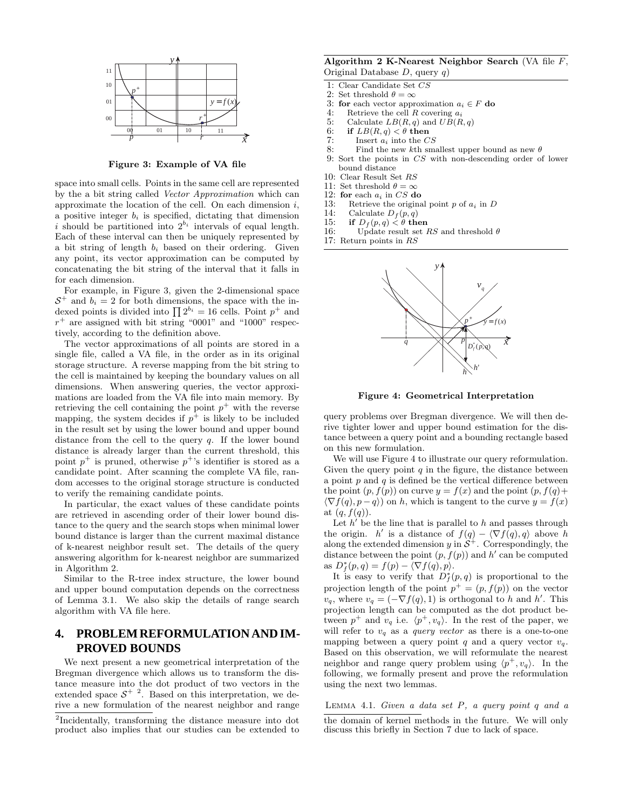

Figure 3: Example of VA file

space into small cells. Points in the same cell are represented by the a bit string called Vector Approximation which can approximate the location of the cell. On each dimension  $i$ , a positive integer  $b_i$  is specified, dictating that dimension i should be partitioned into  $2^{b_i}$  intervals of equal length. Each of these interval can then be uniquely represented by a bit string of length  $b_i$  based on their ordering. Given any point, its vector approximation can be computed by concatenating the bit string of the interval that it falls in for each dimension.

For example, in Figure 3, given the 2-dimensional space  $S^+$  and  $b_i = 2$  for both dimensions, the space with the indexed points is divided into  $\prod 2^{b_i} = 16$  cells. Point  $p^+$  and  $r^+$  are assigned with bit string "0001" and "1000" respectively, according to the definition above.

The vector approximations of all points are stored in a single file, called a VA file, in the order as in its original storage structure. A reverse mapping from the bit string to the cell is maintained by keeping the boundary values on all dimensions. When answering queries, the vector approximations are loaded from the VA file into main memory. By retrieving the cell containing the point  $p^+$  with the reverse mapping, the system decides if  $p^+$  is likely to be included in the result set by using the lower bound and upper bound distance from the cell to the query q. If the lower bound distance is already larger than the current threshold, this point  $p^+$  is pruned, otherwise  $p^+$ 's identifier is stored as a candidate point. After scanning the complete VA file, random accesses to the original storage structure is conducted to verify the remaining candidate points.

In particular, the exact values of these candidate points are retrieved in ascending order of their lower bound distance to the query and the search stops when minimal lower bound distance is larger than the current maximal distance of k-nearest neighbor result set. The details of the query answering algorithm for k-nearest neighbor are summarized in Algorithm 2.

Similar to the R-tree index structure, the lower bound and upper bound computation depends on the correctness of Lemma 3.1. We also skip the details of range search algorithm with VA file here.

# **4. PROBLEM REFORMULATION AND IM-PROVED BOUNDS**

We next present a new geometrical interpretation of the Bregman divergence which allows us to transform the distance measure into the dot product of two vectors in the extended space  $S^{+2}$ . Based on this interpretation, we derive a new formulation of the nearest neighbor and range

#### Algorithm 2 K-Nearest Neighbor Search (VA file  $F$ , Original Database D, query q)

- 1: Clear Candidate Set CS
- 2: Set threshold  $\theta = \infty$
- 3: **for** each vector approximation  $a_i \in F$  **do**<br>4: Retrieve the cell R covering  $a_i$
- 4: Retrieve the cell R covering  $a_i$ <br>5: Calculate  $LB(R, a)$  and  $UB(R, a)$
- Calculate  $LB(R, q)$  and  $UB(R, q)$
- 6: if  $LB(R, q) < \theta$  then<br>7: Insert  $a_i$  into the C
- 7: Insert  $a_i$  into the  $CS$ <br>8: Find the new kth sm.
- Find the new  $k\text{th}$  smallest upper bound as new  $\theta$
- 9: Sort the points in CS with non-descending order of lower bound distance
- 10: Clear Result Set RS
- 11: Set threshold  $\theta = \infty$
- 12: for each  $a_i$  in CS do 13: Retrieve the origina
- 13: Retrieve the original point p of  $a_i$  in D<br>14: Calculate  $D_f(p,q)$
- 14: Calculate  $D_f(p,q)$ <br>15: if  $D_f(p,q) < \theta$  the
- 15: if  $D_f(p,q) < \theta$  then<br>16: Update result set 1
- Update result set RS and threshold  $\theta$
- 17: Return points in RS



Figure 4: Geometrical Interpretation

query problems over Bregman divergence. We will then derive tighter lower and upper bound estimation for the distance between a query point and a bounding rectangle based on this new formulation.

We will use Figure 4 to illustrate our query reformulation. Given the query point  $q$  in the figure, the distance between a point  $p$  and  $q$  is defined be the vertical difference between the point  $(p, f(p))$  on curve  $y = f(x)$  and the point  $(p, f(q))$  $\langle \nabla f(q), p - q \rangle$  on h, which is tangent to the curve  $y = f(x)$ at  $(q, f(q))$ .

Let  $h'$  be the line that is parallel to h and passes through the origin. h' is a distance of  $f(q) - \langle \nabla f(q), q \rangle$  above h along the extended dimension y in  $S^+$ . Correspondingly, the distance between the point  $(p, f(p))$  and  $h'$  can be computed as  $D_f^*(p,q) = f(p) - \langle \nabla f(q), p \rangle$ .

It is easy to verify that  $D_f^*(p,q)$  is proportional to the projection length of the point  $p^+ = (p, f(p))$  on the vector  $v_q$ , where  $v_q = (-\nabla f(q), 1)$  is orthogonal to h and h'. This projection length can be computed as the dot product between  $p^+$  and  $v_q$  i.e.  $\langle p^+, v_q \rangle$ . In the rest of the paper, we will refer to  $v_q$  as a *query vector* as there is a one-to-one mapping between a query point q and a query vector  $v_q$ . Based on this observation, we will reformulate the nearest neighbor and range query problem using  $\langle p^+, v_q \rangle$ . In the following, we formally present and prove the reformulation using the next two lemmas.

LEMMA 4.1. Given a data set  $P$ , a query point  $q$  and  $q$ 

<sup>2</sup> Incidentally, transforming the distance measure into dot product also implies that our studies can be extended to

the domain of kernel methods in the future. We will only discuss this briefly in Section 7 due to lack of space.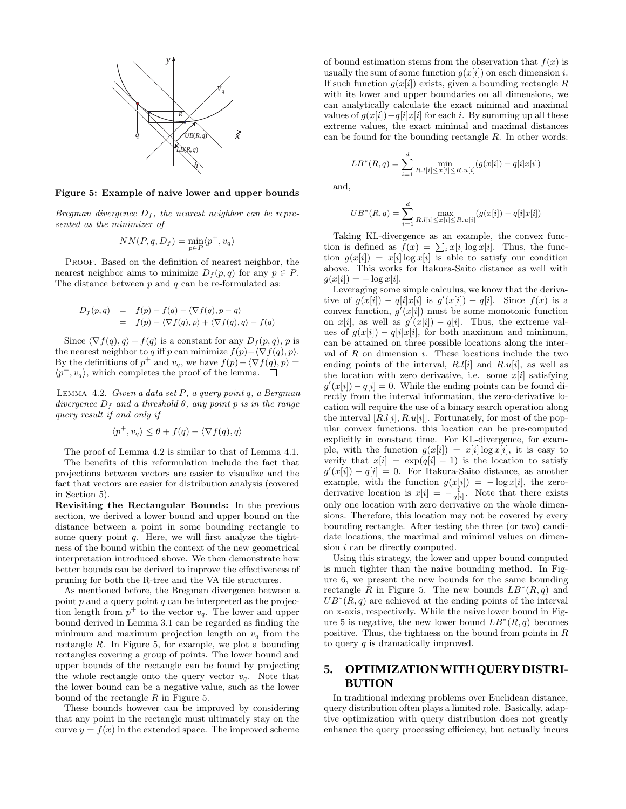

Figure 5: Example of naive lower and upper bounds

Bregman divergence  $D_f$ , the nearest neighbor can be represented as the minimizer of

$$
NN(P, q, D_f) = \min_{p \in P} \langle p^+, v_q \rangle
$$

PROOF. Based on the definition of nearest neighbor, the nearest neighbor aims to minimize  $D_f(p,q)$  for any  $p \in P$ . The distance between  $p$  and  $q$  can be re-formulated as:

$$
D_f(p,q) = f(p) - f(q) - \langle \nabla f(q), p - q \rangle
$$
  
=  $f(p) - \langle \nabla f(q), p \rangle + \langle \nabla f(q), q \rangle - f(q)$ 

Since  $\langle \nabla f(q), q \rangle - f(q)$  is a constant for any  $D_f(p, q)$ , p is the nearest neighbor to q iff p can minimize  $f(p)-\langle \nabla f(q), p \rangle$ . By the definitions of  $p^+$  and  $v_q$ , we have  $f(p)-\langle \nabla f(q), p \rangle =$  $\langle p^+, v_q \rangle$ , which completes the proof of the lemma.

LEMMA 4.2. Given a data set  $P$ , a query point  $q$ , a Bergman divergence  $D_f$  and a threshold  $\theta$ , any point p is in the range query result if and only if

$$
\langle p^+, v_q \rangle \le \theta + f(q) - \langle \nabla f(q), q \rangle
$$

The proof of Lemma 4.2 is similar to that of Lemma 4.1.

The benefits of this reformulation include the fact that projections between vectors are easier to visualize and the fact that vectors are easier for distribution analysis (covered in Section 5).

Revisiting the Rectangular Bounds: In the previous section, we derived a lower bound and upper bound on the distance between a point in some bounding rectangle to some query point  $q$ . Here, we will first analyze the tightness of the bound within the context of the new geometrical interpretation introduced above. We then demonstrate how better bounds can be derived to improve the effectiveness of pruning for both the R-tree and the VA file structures.

As mentioned before, the Bregman divergence between a point  $p$  and a query point  $q$  can be interpreted as the projection length from  $p^+$  to the vector  $v_q$ . The lower and upper bound derived in Lemma 3.1 can be regarded as finding the minimum and maximum projection length on  $v_q$  from the rectangle R. In Figure 5, for example, we plot a bounding rectangles covering a group of points. The lower bound and upper bounds of the rectangle can be found by projecting the whole rectangle onto the query vector  $v_q$ . Note that the lower bound can be a negative value, such as the lower bound of the rectangle  $R$  in Figure 5.

These bounds however can be improved by considering that any point in the rectangle must ultimately stay on the curve  $y = f(x)$  in the extended space. The improved scheme

of bound estimation stems from the observation that  $f(x)$  is usually the sum of some function  $g(x[i])$  on each dimension i. If such function  $q(x[i])$  exists, given a bounding rectangle R with its lower and upper boundaries on all dimensions, we can analytically calculate the exact minimal and maximal values of  $q(x[i])-q[i]x[i]$  for each i. By summing up all these extreme values, the exact minimal and maximal distances can be found for the bounding rectangle  $R$ . In other words:

$$
LB^*(R, q) = \sum_{i=1}^d \min_{R.I[i] \leq x[i] \leq R.u[i]} (g(x[i]) - q[i]x[i])
$$

and,

$$
UB^*(R, q) = \sum_{i=1}^d \max_{R.l[i] \leq x[i] \leq R.u[i]} (g(x[i]) - q[i]x[i])
$$

Taking KL-divergence as an example, the convex function is defined as  $f(x) = \sum_i x[i] \log x[i]$ . Thus, the function  $g(x[i]) = x[i] \log x[i]$  is able to satisfy our condition above. This works for Itakura-Saito distance as well with  $g(x[i]) = -\log x[i].$ 

Leveraging some simple calculus, we know that the derivative of  $g(x[i]) - q[i]x[i]$  is  $g'(x[i]) - q[i]$ . Since  $f(x)$  is a convex function,  $g'(x[i])$  must be some monotonic function on  $x[i]$ , as well as  $g'(x[i]) - q[i]$ . Thus, the extreme values of  $g(x[i]) - q[i]x[i]$ , for both maximum and minimum, can be attained on three possible locations along the interval of  $R$  on dimension  $i$ . These locations include the two ending points of the interval,  $R.l[i]$  and  $R.u[i]$ , as well as the location with zero derivative, i.e. some  $x[i]$  satisfying  $g'(x[i]) - q[i] = 0$ . While the ending points can be found directly from the interval information, the zero-derivative location will require the use of a binary search operation along the interval  $[R.l[i], R.u[i]]$ . Fortunately, for most of the popular convex functions, this location can be pre-computed explicitly in constant time. For KL-divergence, for example, with the function  $g(x[i]) = x[i] \log x[i]$ , it is easy to verify that  $x[i] = \exp(q[i] - 1)$  is the location to satisfy  $g'(x[i]) - q[i] = 0$ . For Itakura-Saito distance, as another example, with the function  $g(x[i]) = -\log x[i]$ , the zeroderivative location is  $x[i] = -\frac{1}{q[i]}$ . Note that there exists only one location with zero derivative on the whole dimensions. Therefore, this location may not be covered by every bounding rectangle. After testing the three (or two) candidate locations, the maximal and minimal values on dimension i can be directly computed.

Using this strategy, the lower and upper bound computed is much tighter than the naive bounding method. In Figure 6, we present the new bounds for the same bounding rectangle R in Figure 5. The new bounds  $LB^*(R,q)$  and  $UB^*(R,q)$  are achieved at the ending points of the interval on x-axis, respectively. While the naive lower bound in Figure 5 is negative, the new lower bound  $LB^*(R,q)$  becomes positive. Thus, the tightness on the bound from points in  $R$ to query q is dramatically improved.

# **5. OPTIMIZATION WITH QUERY DISTRI-BUTION**

In traditional indexing problems over Euclidean distance, query distribution often plays a limited role. Basically, adaptive optimization with query distribution does not greatly enhance the query processing efficiency, but actually incurs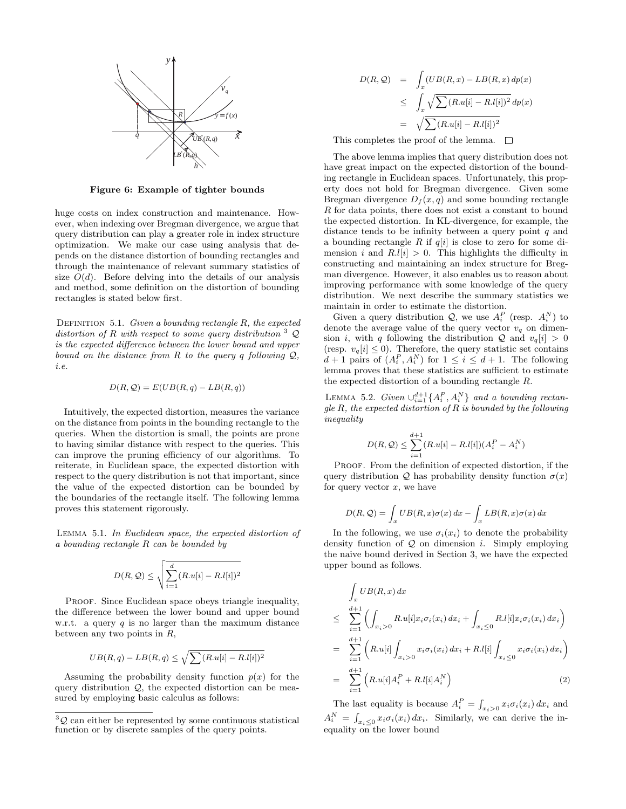

Figure 6: Example of tighter bounds

huge costs on index construction and maintenance. However, when indexing over Bregman divergence, we argue that query distribution can play a greater role in index structure optimization. We make our case using analysis that depends on the distance distortion of bounding rectangles and through the maintenance of relevant summary statistics of size  $O(d)$ . Before delving into the details of our analysis and method, some definition on the distortion of bounding rectangles is stated below first.

DEFINITION 5.1. Given a bounding rectangle  $R$ , the expected distortion of R with respect to some query distribution  $3\mathcal{Q}$ is the expected difference between the lower bound and upper bound on the distance from R to the query q following  $Q$ , i.e.

$$
D(R, \mathcal{Q}) = E(UB(R, q) - LB(R, q))
$$

Intuitively, the expected distortion, measures the variance on the distance from points in the bounding rectangle to the queries. When the distortion is small, the points are prone to having similar distance with respect to the queries. This can improve the pruning efficiency of our algorithms. To reiterate, in Euclidean space, the expected distortion with respect to the query distribution is not that important, since the value of the expected distortion can be bounded by the boundaries of the rectangle itself. The following lemma proves this statement rigorously.

Lemma 5.1. In Euclidean space, the expected distortion of a bounding rectangle R can be bounded by

$$
D(R, Q) \le \sqrt{\sum_{i=1}^{d} (R.u[i] - R.l[i])^2}
$$

PROOF. Since Euclidean space obeys triangle inequality, the difference between the lower bound and upper bound w.r.t. a query  $q$  is no larger than the maximum distance between any two points in  $R$ ,

$$
UB(R, q) - LB(R, q) \le \sqrt{\sum (R.u[i] - R.l[i])^2}
$$

Assuming the probability density function  $p(x)$  for the query distribution  $Q$ , the expected distortion can be measured by employing basic calculus as follows:

$$
D(R, Q) = \int_x (UB(R, x) - LB(R, x) dp(x)
$$
  
\n
$$
\leq \int_x \sqrt{\sum (R.u[i] - R.l[i])^2} dp(x)
$$
  
\n
$$
= \sqrt{\sum (R.u[i] - R.l[i])^2}
$$

This completes the proof of the lemma.  $\Box$ 

The above lemma implies that query distribution does not have great impact on the expected distortion of the bounding rectangle in Euclidean spaces. Unfortunately, this property does not hold for Bregman divergence. Given some Bregman divergence  $D_f(x, q)$  and some bounding rectangle R for data points, there does not exist a constant to bound the expected distortion. In KL-divergence, for example, the distance tends to be infinity between a query point  $q$  and a bounding rectangle R if  $q[i]$  is close to zero for some dimension i and  $R[l] > 0$ . This highlights the difficulty in constructing and maintaining an index structure for Bregman divergence. However, it also enables us to reason about improving performance with some knowledge of the query distribution. We next describe the summary statistics we maintain in order to estimate the distortion.

Given a query distribution  $\mathcal{Q}$ , we use  $A_i^P$  (resp.  $A_i^N$ ) to denote the average value of the query vector  $v_q$  on dimension i, with q following the distribution Q and  $v_q[i] > 0$ (resp.  $v_q[i] \leq 0$ ). Therefore, the query statistic set contains  $d+1$  pairs of  $(A_i^P, A_i^N)$  for  $1 \leq i \leq d+1$ . The following lemma proves that these statistics are sufficient to estimate the expected distortion of a bounding rectangle R.

LEMMA 5.2. Given  $\cup_{i=1}^{d+1} \{A_i^P, A_i^N\}$  and a bounding rectangle  $R$ , the expected distortion of  $R$  is bounded by the following inequality

$$
D(R, Q) \le \sum_{i=1}^{d+1} (R.u[i] - R.l[i])(A_i^P - A_i^N)
$$

PROOF. From the definition of expected distortion, if the query distribution  $Q$  has probability density function  $\sigma(x)$ for query vector  $x$ , we have

$$
D(R, Q) = \int_x U B(R, x) \sigma(x) dx - \int_x L B(R, x) \sigma(x) dx
$$

In the following, we use  $\sigma_i(x_i)$  to denote the probability density function of  $Q$  on dimension i. Simply employing the naive bound derived in Section 3, we have the expected upper bound as follows.

$$
\int_{x} U B(R, x) dx
$$
\n
$$
\leq \sum_{i=1}^{d+1} \left( \int_{x_i>0} R.u[i] x_i \sigma_i(x_i) dx_i + \int_{x_i \leq 0} R.l[i] x_i \sigma_i(x_i) dx_i \right)
$$
\n
$$
= \sum_{i=1}^{d+1} \left( R.u[i] \int_{x_i>0} x_i \sigma_i(x_i) dx_i + R.l[i] \int_{x_i \leq 0} x_i \sigma_i(x_i) dx_i \right)
$$
\n
$$
= \sum_{i=1}^{d+1} \left( R.u[i] A_i^P + R.l[i] A_i^N \right) \tag{2}
$$

The last equality is because  $A_i^P = \int_{x_i>0} x_i \sigma_i(x_i) dx_i$  and  $A_i^N = \int_{x_i \leq 0} x_i \sigma_i(x_i) dx_i$ . Similarly, we can derive the inequality on the lower bound

 $3\mathcal{Q}$  can either be represented by some continuous statistical function or by discrete samples of the query points.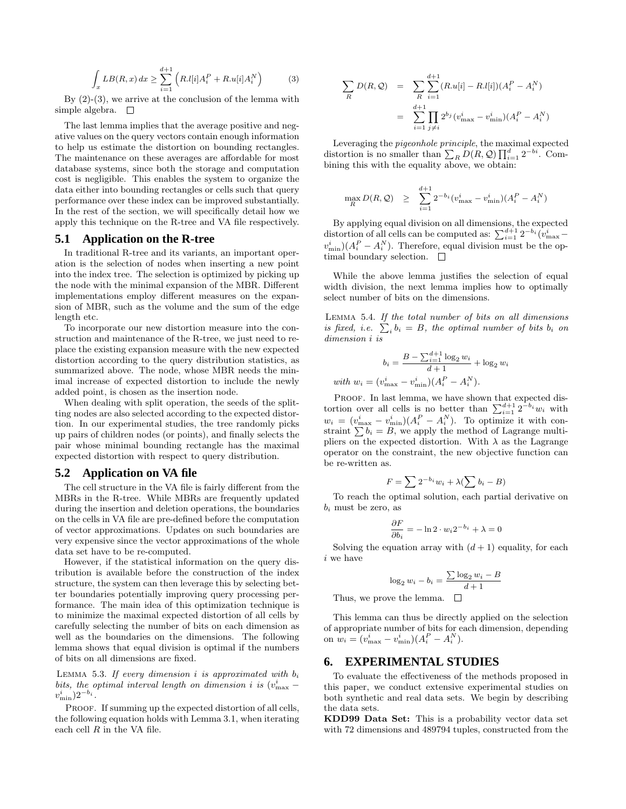$$
\int_{x} L B(R, x) dx \ge \sum_{i=1}^{d+1} \left( R.l[i] A_i^P + R.u[i] A_i^N \right) \tag{3}
$$

By  $(2)-(3)$ , we arrive at the conclusion of the lemma with simple algebra.  $\square$ 

The last lemma implies that the average positive and negative values on the query vectors contain enough information to help us estimate the distortion on bounding rectangles. The maintenance on these averages are affordable for most database systems, since both the storage and computation cost is negligible. This enables the system to organize the data either into bounding rectangles or cells such that query performance over these index can be improved substantially. In the rest of the section, we will specifically detail how we apply this technique on the R-tree and VA file respectively.

#### **5.1 Application on the R-tree**

In traditional R-tree and its variants, an important operation is the selection of nodes when inserting a new point into the index tree. The selection is optimized by picking up the node with the minimal expansion of the MBR. Different implementations employ different measures on the expansion of MBR, such as the volume and the sum of the edge length etc.

To incorporate our new distortion measure into the construction and maintenance of the R-tree, we just need to replace the existing expansion measure with the new expected distortion according to the query distribution statistics, as summarized above. The node, whose MBR needs the minimal increase of expected distortion to include the newly added point, is chosen as the insertion node.

When dealing with split operation, the seeds of the splitting nodes are also selected according to the expected distortion. In our experimental studies, the tree randomly picks up pairs of children nodes (or points), and finally selects the pair whose minimal bounding rectangle has the maximal expected distortion with respect to query distribution.

#### **5.2 Application on VA file**

The cell structure in the VA file is fairly different from the MBRs in the R-tree. While MBRs are frequently updated during the insertion and deletion operations, the boundaries on the cells in VA file are pre-defined before the computation of vector approximations. Updates on such boundaries are very expensive since the vector approximations of the whole data set have to be re-computed.

However, if the statistical information on the query distribution is available before the construction of the index structure, the system can then leverage this by selecting better boundaries potentially improving query processing performance. The main idea of this optimization technique is to minimize the maximal expected distortion of all cells by carefully selecting the number of bits on each dimension as well as the boundaries on the dimensions. The following lemma shows that equal division is optimal if the numbers of bits on all dimensions are fixed.

LEMMA 5.3. If every dimension i is approximated with  $b_i$ bits, the optimal interval length on dimension i is  $(v_{\text{max}}^i$  $v_{\min}^{i}$ ) $2^{-b_{i}}$ .

PROOF. If summing up the expected distortion of all cells, the following equation holds with Lemma 3.1, when iterating each cell  $R$  in the VA file.

$$
\sum_{R} D(R, Q) = \sum_{R} \sum_{i=1}^{d+1} (R \cdot u[i] - R \cdot l[i])(A_i^P - A_i^N)
$$
  
= 
$$
\sum_{i=1}^{d+1} \prod_{j \neq i} 2^{b_j} (v_{\text{max}}^i - v_{\text{min}}^i)(A_i^P - A_i^N)
$$

Leveraging the pigeonhole principle, the maximal expected distortion is no smaller than  $\sum_{R} D(R, Q) \prod_{i=1}^{d} 2^{-bi}$ . Combining this with the equality above, we obtain:

$$
\max_{R} D(R, Q) \geq \sum_{i=1}^{d+1} 2^{-b_i} (v_{\text{max}}^i - v_{\text{min}}^i)(A_i^P - A_i^N)
$$

By applying equal division on all dimensions, the expected distortion of all cells can be computed as:  $\sum_{i=1}^{d+1} 2^{-b_i} (v_{\text{max}}^i$  $v_{\min}^i$ )( $A_i^P - A_i^N$ ). Therefore, equal division must be the optimal boundary selection.  $\Box$ 

While the above lemma justifies the selection of equal width division, the next lemma implies how to optimally select number of bits on the dimensions.

Lemma 5.4. If the total number of bits on all dimensions is fixed, i.e.  $\sum_i b_i = B$ , the optimal number of bits  $b_i$  on dimension i is

$$
b_i = \frac{B - \sum_{i=1}^{d+1} \log_2 w_i}{d+1} + \log_2 w_i
$$
  
*th*  $w_i = (v_{\text{max}}^i - v_{\text{min}}^i)(A_i^P - A_i^N).$ 

 $wi$ 

PROOF. In last lemma, we have shown that expected distortion over all cells is no better than  $\sum_{i=1}^{d+1} 2^{-b_i} w_i$  with  $w_i = (v_{\text{max}}^i - v_{\text{min}}^i)(A_i^P - A_i^N)$ . To optimize it with constraint  $\sum b_i = B$ , we apply the method of Lagrange multipliers on the expected distortion. With  $\lambda$  as the Lagrange operator on the constraint, the new objective function can be re-written as.

$$
F = \sum 2^{-b_i} w_i + \lambda (\sum b_i - B)
$$

To reach the optimal solution, each partial derivative on  $b_i$  must be zero, as

$$
\frac{\partial F}{\partial b_i} = -\ln 2 \cdot w_i 2^{-b_i} + \lambda = 0
$$

Solving the equation array with  $(d+1)$  equality, for each i we have

$$
\log_2 w_i - b_i = \frac{\sum \log_2 w_i - B}{d+1}
$$

Thus, we prove the lemma.  $\square$ 

This lemma can thus be directly applied on the selection of appropriate number of bits for each dimension, depending on  $w_i = (v_{\text{max}}^i - v_{\text{min}}^i)(A_i^P - A_i^N)$ .

#### **6. EXPERIMENTAL STUDIES**

To evaluate the effectiveness of the methods proposed in this paper, we conduct extensive experimental studies on both synthetic and real data sets. We begin by describing the data sets.

KDD99 Data Set: This is a probability vector data set with 72 dimensions and 489794 tuples, constructed from the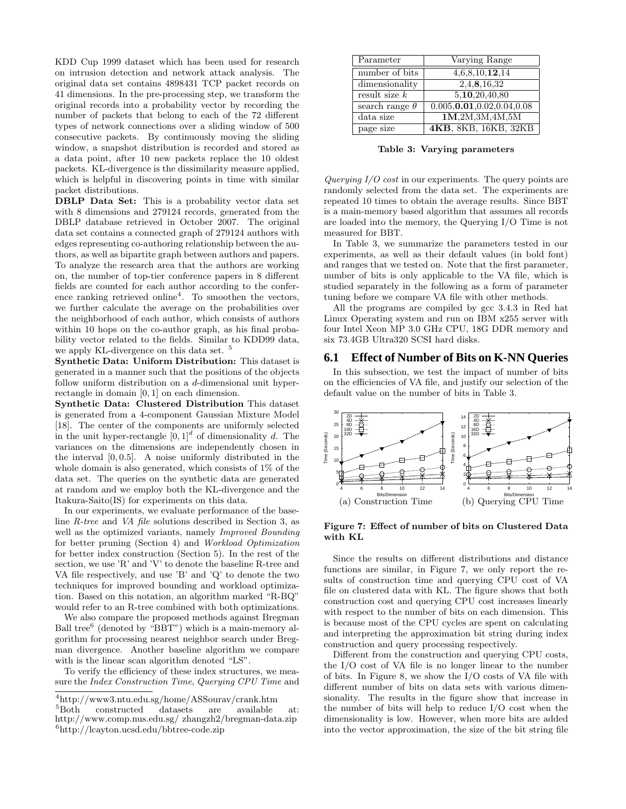KDD Cup 1999 dataset which has been used for research on intrusion detection and network attack analysis. The original data set contains 4898431 TCP packet records on 41 dimensions. In the pre-processing step, we transform the original records into a probability vector by recording the number of packets that belong to each of the 72 different types of network connections over a sliding window of 500 consecutive packets. By continuously moving the sliding window, a snapshot distribution is recorded and stored as a data point, after 10 new packets replace the 10 oldest packets. KL-divergence is the dissimilarity measure applied, which is helpful in discovering points in time with similar packet distributions.

DBLP Data Set: This is a probability vector data set with 8 dimensions and 279124 records, generated from the DBLP database retrieved in October 2007. The original data set contains a connected graph of 279124 authors with edges representing co-authoring relationship between the authors, as well as bipartite graph between authors and papers. To analyze the research area that the authors are working on, the number of top-tier conference papers in 8 different fields are counted for each author according to the conference ranking retrieved online<sup>4</sup>. To smoothen the vectors, we further calculate the average on the probabilities over the neighborhood of each author, which consists of authors within 10 hops on the co-author graph, as his final probability vector related to the fields. Similar to KDD99 data, we apply KL-divergence on this data set.  $\frac{5}{3}$ 

Synthetic Data: Uniform Distribution: This dataset is generated in a manner such that the positions of the objects follow uniform distribution on a d-dimensional unit hyperrectangle in domain [0, 1] on each dimension.

Synthetic Data: Clustered Distribution This dataset is generated from a 4-component Gaussian Mixture Model [18]. The center of the components are uniformly selected in the unit hyper-rectangle  $[0,1]^d$  of dimensionality d. The variances on the dimensions are independently chosen in the interval [0, 0.5]. A noise uniformly distributed in the whole domain is also generated, which consists of 1% of the data set. The queries on the synthetic data are generated at random and we employ both the KL-divergence and the Itakura-Saito(IS) for experiments on this data.

In our experiments, we evaluate performance of the baseline R-tree and VA file solutions described in Section 3, as well as the optimized variants, namely Improved Bounding for better pruning (Section 4) and Workload Optimization for better index construction (Section 5). In the rest of the section, we use 'R' and 'V' to denote the baseline R-tree and VA file respectively, and use 'B' and 'Q' to denote the two techniques for improved bounding and workload optimization. Based on this notation, an algorithm marked "R-BQ" would refer to an R-tree combined with both optimizations.

We also compare the proposed methods against Bregman Ball tree<sup>6</sup> (denoted by "BBT") which is a main-memory algorithm for processing nearest neighbor search under Bregman divergence. Another baseline algorithm we compare with is the linear scan algorithm denoted "LS".

To verify the efficiency of these index structures, we measure the Index Construction Time, Querying CPU Time and

<sup>5</sup>Both constructed datasets are available at: http://www.comp.nus.edu.sg/ zhangzh2/bregman-data.zip <sup>6</sup>http://lcayton.ucsd.edu/bbtree-code.zip

| Parameter             | Varying Range                 |
|-----------------------|-------------------------------|
| number of bits        | 4,6,8,10,12,14                |
| dimensionality        | 2,4,8,16,32                   |
| result size $k$       | 5,10,20,40,80                 |
| search range $\theta$ | 0.005, 0.01, 0.02, 0.04, 0.08 |
| data size             | 1M, 2M, 3M, 4M, 5M            |
| page size             | 4KB, 8KB, 16KB, 32KB          |

Table 3: Varying parameters

Querying  $I/O \ cost$  in our experiments. The query points are randomly selected from the data set. The experiments are repeated 10 times to obtain the average results. Since BBT is a main-memory based algorithm that assumes all records are loaded into the memory, the Querying I/O Time is not measured for BBT.

In Table 3, we summarize the parameters tested in our experiments, as well as their default values (in bold font) and ranges that we tested on. Note that the first parameter, number of bits is only applicable to the VA file, which is studied separately in the following as a form of parameter tuning before we compare VA file with other methods.

All the programs are compiled by gcc 3.4.3 in Red hat Linux Operating system and run on IBM x255 server with four Intel Xeon MP 3.0 GHz CPU, 18G DDR memory and six 73.4GB Ultra320 SCSI hard disks.

# **6.1 Effect of Number of Bits on K-NN Queries**

In this subsection, we test the impact of number of bits on the efficiencies of VA file, and justify our selection of the default value on the number of bits in Table 3.



Figure 7: Effect of number of bits on Clustered Data with KL

Since the results on different distributions and distance functions are similar, in Figure 7, we only report the results of construction time and querying CPU cost of VA file on clustered data with KL. The figure shows that both construction cost and querying CPU cost increases linearly with respect to the number of bits on each dimension. This is because most of the CPU cycles are spent on calculating and interpreting the approximation bit string during index construction and query processing respectively.

Different from the construction and querying CPU costs, the I/O cost of VA file is no longer linear to the number of bits. In Figure 8, we show the I/O costs of VA file with different number of bits on data sets with various dimensionality. The results in the figure show that increase in the number of bits will help to reduce I/O cost when the dimensionality is low. However, when more bits are added into the vector approximation, the size of the bit string file

<sup>4</sup>http://www3.ntu.edu.sg/home/ASSourav/crank.htm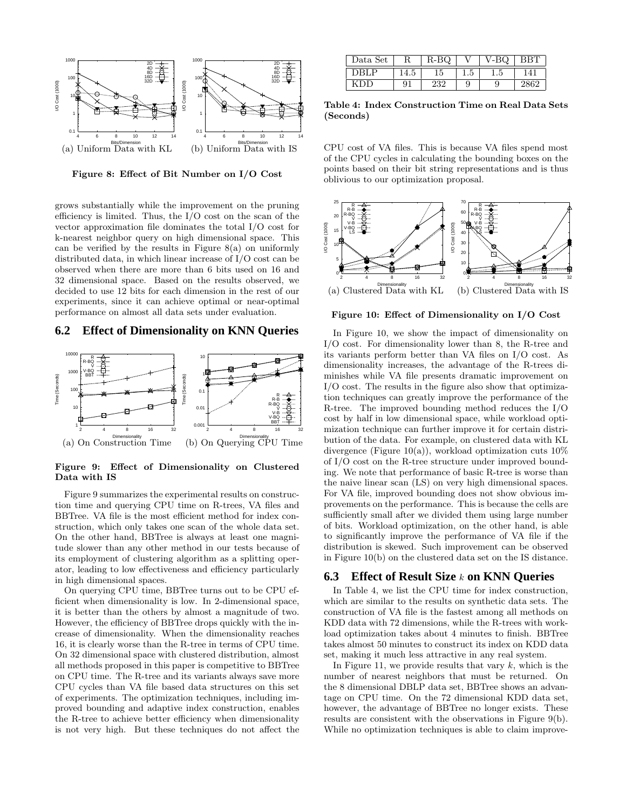

Figure 8: Effect of Bit Number on I/O Cost

grows substantially while the improvement on the pruning efficiency is limited. Thus, the I/O cost on the scan of the vector approximation file dominates the total I/O cost for k-nearest neighbor query on high dimensional space. This can be verified by the results in Figure  $8(a)$  on uniformly distributed data, in which linear increase of I/O cost can be observed when there are more than 6 bits used on 16 and 32 dimensional space. Based on the results observed, we decided to use 12 bits for each dimension in the rest of our experiments, since it can achieve optimal or near-optimal performance on almost all data sets under evaluation.

### **6.2 Effect of Dimensionality on KNN Queries**



Figure 9: Effect of Dimensionality on Clustered Data with IS

Figure 9 summarizes the experimental results on construction time and querying CPU time on R-trees, VA files and BBTree. VA file is the most efficient method for index construction, which only takes one scan of the whole data set. On the other hand, BBTree is always at least one magnitude slower than any other method in our tests because of its employment of clustering algorithm as a splitting operator, leading to low effectiveness and efficiency particularly in high dimensional spaces.

On querying CPU time, BBTree turns out to be CPU efficient when dimensionality is low. In 2-dimensional space, it is better than the others by almost a magnitude of two. However, the efficiency of BBTree drops quickly with the increase of dimensionality. When the dimensionality reaches 16, it is clearly worse than the R-tree in terms of CPU time. On 32 dimensional space with clustered distribution, almost all methods proposed in this paper is competitive to BBTree on CPU time. The R-tree and its variants always save more CPU cycles than VA file based data structures on this set of experiments. The optimization techniques, including improved bounding and adaptive index construction, enables the R-tree to achieve better efficiency when dimensionality is not very high. But these techniques do not affect the

| Data Set |                                 |         |                                 | -        |  |
|----------|---------------------------------|---------|---------------------------------|----------|--|
|          | $\overline{\phantom{a}}$<br>±.∪ | ∽<br>L5 | $\overline{\phantom{a}}$<br>∡.ບ | ۰<br>L.U |  |
|          | 91                              | ິ       | ◡                               | u<br>ᢦ   |  |

Table 4: Index Construction Time on Real Data Sets (Seconds)

CPU cost of VA files. This is because VA files spend most of the CPU cycles in calculating the bounding boxes on the points based on their bit string representations and is thus oblivious to our optimization proposal.



Figure 10: Effect of Dimensionality on I/O Cost

In Figure 10, we show the impact of dimensionality on I/O cost. For dimensionality lower than 8, the R-tree and its variants perform better than VA files on I/O cost. As dimensionality increases, the advantage of the R-trees diminishes while VA file presents dramatic improvement on I/O cost. The results in the figure also show that optimization techniques can greatly improve the performance of the R-tree. The improved bounding method reduces the I/O cost by half in low dimensional space, while workload optimization technique can further improve it for certain distribution of the data. For example, on clustered data with KL divergence (Figure 10(a)), workload optimization cuts  $10\%$ of I/O cost on the R-tree structure under improved bounding. We note that performance of basic R-tree is worse than the naive linear scan (LS) on very high dimensional spaces. For VA file, improved bounding does not show obvious improvements on the performance. This is because the cells are sufficiently small after we divided them using large number of bits. Workload optimization, on the other hand, is able to significantly improve the performance of VA file if the distribution is skewed. Such improvement can be observed in Figure 10(b) on the clustered data set on the IS distance.

#### **6.3 Effect of Result Size** k **on KNN Queries**

In Table 4, we list the CPU time for index construction, which are similar to the results on synthetic data sets. The construction of VA file is the fastest among all methods on KDD data with 72 dimensions, while the R-trees with workload optimization takes about 4 minutes to finish. BBTree takes almost 50 minutes to construct its index on KDD data set, making it much less attractive in any real system.

In Figure 11, we provide results that vary  $k$ , which is the number of nearest neighbors that must be returned. On the 8 dimensional DBLP data set, BBTree shows an advantage on CPU time. On the 72 dimensional KDD data set, however, the advantage of BBTree no longer exists. These results are consistent with the observations in Figure 9(b). While no optimization techniques is able to claim improve-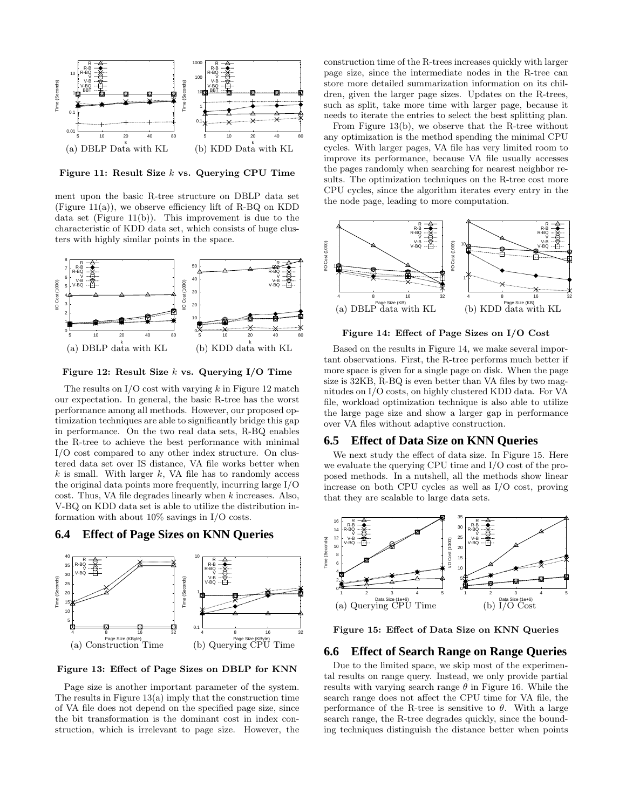

Figure 11: Result Size k vs. Querying CPU Time

ment upon the basic R-tree structure on DBLP data set (Figure 11(a)), we observe efficiency lift of R-BQ on KDD data set  $(Figure 11(b))$ . This improvement is due to the characteristic of KDD data set, which consists of huge clusters with highly similar points in the space.



Figure 12: Result Size  $k$  vs. Querying I/O Time

The results on  $I/O$  cost with varying k in Figure 12 match our expectation. In general, the basic R-tree has the worst performance among all methods. However, our proposed optimization techniques are able to significantly bridge this gap in performance. On the two real data sets, R-BQ enables the R-tree to achieve the best performance with minimal I/O cost compared to any other index structure. On clustered data set over IS distance, VA file works better when  $k$  is small. With larger  $k$ , VA file has to randomly access the original data points more frequently, incurring large I/O cost. Thus, VA file degrades linearly when k increases. Also, V-BQ on KDD data set is able to utilize the distribution information with about 10% savings in I/O costs.

## **6.4 Effect of Page Sizes on KNN Queries**



Figure 13: Effect of Page Sizes on DBLP for KNN

Page size is another important parameter of the system. The results in Figure 13(a) imply that the construction time of VA file does not depend on the specified page size, since the bit transformation is the dominant cost in index construction, which is irrelevant to page size. However, the construction time of the R-trees increases quickly with larger page size, since the intermediate nodes in the R-tree can store more detailed summarization information on its children, given the larger page sizes. Updates on the R-trees, such as split, take more time with larger page, because it needs to iterate the entries to select the best splitting plan.

From Figure 13(b), we observe that the R-tree without any optimization is the method spending the minimal CPU cycles. With larger pages, VA file has very limited room to improve its performance, because VA file usually accesses the pages randomly when searching for nearest neighbor results. The optimization techniques on the R-tree cost more CPU cycles, since the algorithm iterates every entry in the the node page, leading to more computation.



Figure 14: Effect of Page Sizes on I/O Cost

Based on the results in Figure 14, we make several important observations. First, the R-tree performs much better if more space is given for a single page on disk. When the page size is 32KB, R-BQ is even better than VA files by two magnitudes on I/O costs, on highly clustered KDD data. For VA file, workload optimization technique is also able to utilize the large page size and show a larger gap in performance over VA files without adaptive construction.

### **6.5 Effect of Data Size on KNN Queries**

We next study the effect of data size. In Figure 15. Here we evaluate the querying CPU time and I/O cost of the proposed methods. In a nutshell, all the methods show linear increase on both CPU cycles as well as I/O cost, proving that they are scalable to large data sets.



Figure 15: Effect of Data Size on KNN Queries

#### **6.6 Effect of Search Range on Range Queries**

Due to the limited space, we skip most of the experimental results on range query. Instead, we only provide partial results with varying search range  $\theta$  in Figure 16. While the search range does not affect the CPU time for VA file, the performance of the R-tree is sensitive to  $\theta$ . With a large search range, the R-tree degrades quickly, since the bounding techniques distinguish the distance better when points